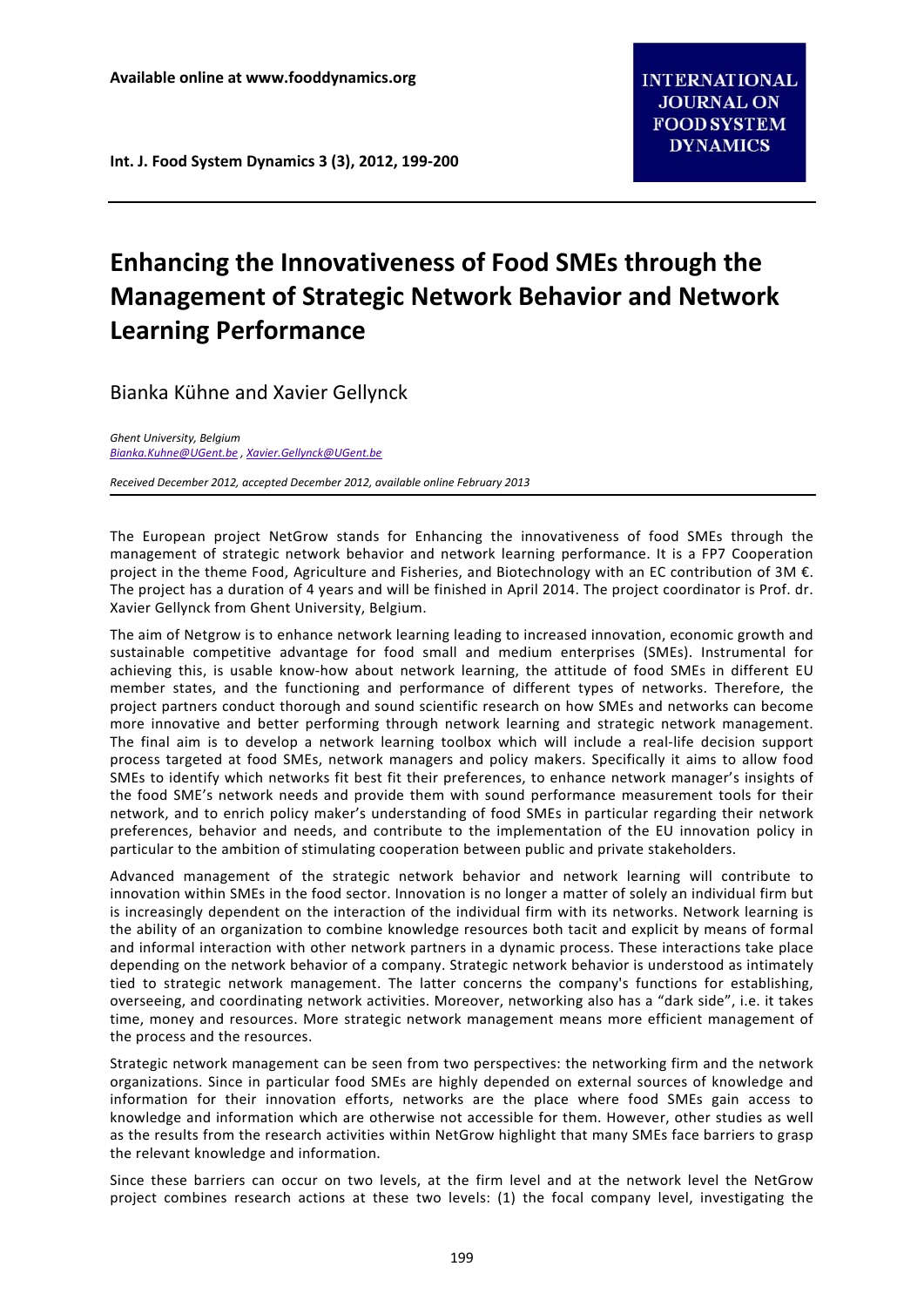**Int. J. Food System Dynamics 3 (3), 2012, 199‐200**

## **Enhancing the Innovativeness of Food SMEs through the Management of Strategic Network Behavior and Network Learning Performance**

Bianka Kühne and Xavier Gellynck

*Ghent University, Belgium Bianka.Kuhne@UGent.be , Xavier.Gellynck@UGent.be*

*Received December 2012, accepted December 2012, available online February 2013*

The European project NetGrow stands for Enhancing the innovativeness of food SMEs through the management of strategic network behavior and network learning performance. It is a FP7 Cooperation project in the theme Food, Agriculture and Fisheries, and Biotechnology with an EC contribution of 3M €. The project has a duration of 4 years and will be finished in April 2014. The project coordinator is Prof. dr. Xavier Gellynck from Ghent University, Belgium.

The aim of Netgrow is to enhance network learning leading to increased innovation, economic growth and sustainable competitive advantage for food small and medium enterprises (SMEs). Instrumental for achieving this, is usable know‐how about network learning, the attitude of food SMEs in different EU member states, and the functioning and performance of different types of networks. Therefore, the project partners conduct thorough and sound scientific research on how SMEs and networks can become more innovative and better performing through network learning and strategic network management. The final aim is to develop a network learning toolbox which will include a real‐life decision support process targeted at food SMEs, network managers and policy makers. Specifically it aims to allow food SMEs to identify which networks fit best fit their preferences, to enhance network manager's insights of the food SME's network needs and provide them with sound performance measurement tools for their network, and to enrich policy maker's understanding of food SMEs in particular regarding their network preferences, behavior and needs, and contribute to the implementation of the EU innovation policy in particular to the ambition of stimulating cooperation between public and private stakeholders.

Advanced management of the strategic network behavior and network learning will contribute to innovation within SMEs in the food sector. Innovation is no longer a matter of solely an individual firm but is increasingly dependent on the interaction of the individual firm with its networks. Network learning is the ability of an organization to combine knowledge resources both tacit and explicit by means of formal and informal interaction with other network partners in a dynamic process. These interactions take place depending on the network behavior of a company. Strategic network behavior is understood as intimately tied to strategic network management. The latter concerns the company's functions for establishing, overseeing, and coordinating network activities. Moreover, networking also has a "dark side", i.e. it takes time, money and resources. More strategic network management means more efficient management of the process and the resources.

Strategic network management can be seen from two perspectives: the networking firm and the network organizations. Since in particular food SMEs are highly depended on external sources of knowledge and information for their innovation efforts, networks are the place where food SMEs gain access to knowledge and information which are otherwise not accessible for them. However, other studies as well as the results from the research activities within NetGrow highlight that many SMEs face barriers to grasp the relevant knowledge and information.

Since these barriers can occur on two levels, at the firm level and at the network level the NetGrow project combines research actions at these two levels: (1) the focal company level, investigating the